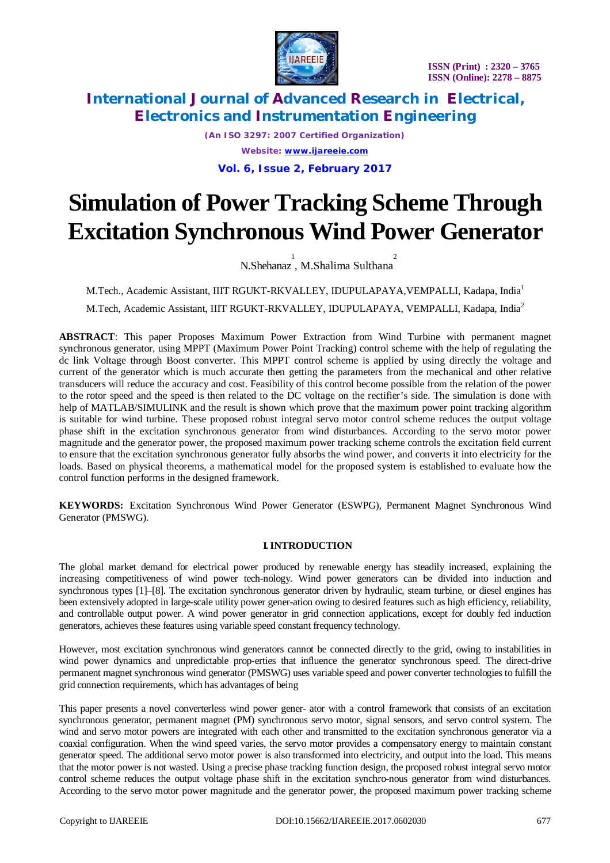

*(An ISO 3297: 2007 Certified Organization) Website: [www.ijareeie.com](http://www.ijareeie.com)* **Vol. 6, Issue 2, February 2017**

# **Simulation of Power Tracking Scheme Through Excitation Synchronous Wind Power Generator**

N.Shehanaz, M.Shalima Sulthana<sup>2</sup>

M.Tech., Academic Assistant, IIIT RGUKT-RKVALLEY, IDUPULAPAYA,VEMPALLI, Kadapa, India<sup>1</sup> M.Tech, Academic Assistant, IIIT RGUKT-RKVALLEY, IDUPULAPAYA, VEMPALLI, Kadapa, India<sup>2</sup>

**ABSTRACT**: This paper Proposes Maximum Power Extraction from Wind Turbine with permanent magnet synchronous generator, using MPPT (Maximum Power Point Tracking) control scheme with the help of regulating the dc link Voltage through Boost converter. This MPPT control scheme is applied by using directly the voltage and current of the generator which is much accurate then getting the parameters from the mechanical and other relative transducers will reduce the accuracy and cost. Feasibility of this control become possible from the relation of the power to the rotor speed and the speed is then related to the DC voltage on the rectifier's side. The simulation is done with help of MATLAB/SIMULINK and the result is shown which prove that the maximum power point tracking algorithm is suitable for wind turbine. These proposed robust integral servo motor control scheme reduces the output voltage phase shift in the excitation synchronous generator from wind disturbances. According to the servo motor power magnitude and the generator power, the proposed maximum power tracking scheme controls the excitation field current to ensure that the excitation synchronous generator fully absorbs the wind power, and converts it into electricity for the loads. Based on physical theorems, a mathematical model for the proposed system is established to evaluate how the control function performs in the designed framework.

**KEYWORDS:** Excitation Synchronous Wind Power Generator (ESWPG), Permanent Magnet Synchronous Wind Generator (PMSWG).

### **I. INTRODUCTION**

The global market demand for electrical power produced by renewable energy has steadily increased, explaining the increasing competitiveness of wind power tech-nology. Wind power generators can be divided into induction and synchronous types [1]–[8]. The excitation synchronous generator driven by hydraulic, steam turbine, or diesel engines has been extensively adopted in large-scale utility power gener-ation owing to desired features such as high efficiency, reliability, and controllable output power. A wind power generator in grid connection applications, except for doubly fed induction generators, achieves these features using variable speed constant frequency technology.

However, most excitation synchronous wind generators cannot be connected directly to the grid, owing to instabilities in wind power dynamics and unpredictable prop-erties that influence the generator synchronous speed. The direct-drive permanent magnet synchronous wind generator (PMSWG) uses variable speed and power converter technologies to fulfill the grid connection requirements, which has advantages of being

This paper presents a novel converterless wind power gener- ator with a control framework that consists of an excitation synchronous generator, permanent magnet (PM) synchronous servo motor, signal sensors, and servo control system. The wind and servo motor powers are integrated with each other and transmitted to the excitation synchronous generator via a coaxial configuration. When the wind speed varies, the servo motor provides a compensatory energy to maintain constant generator speed. The additional servo motor power is also transformed into electricity, and output into the load. This means that the motor power is not wasted. Using a precise phase tracking function design, the proposed robust integral servo motor control scheme reduces the output voltage phase shift in the excitation synchro-nous generator from wind disturbances. According to the servo motor power magnitude and the generator power, the proposed maximum power tracking scheme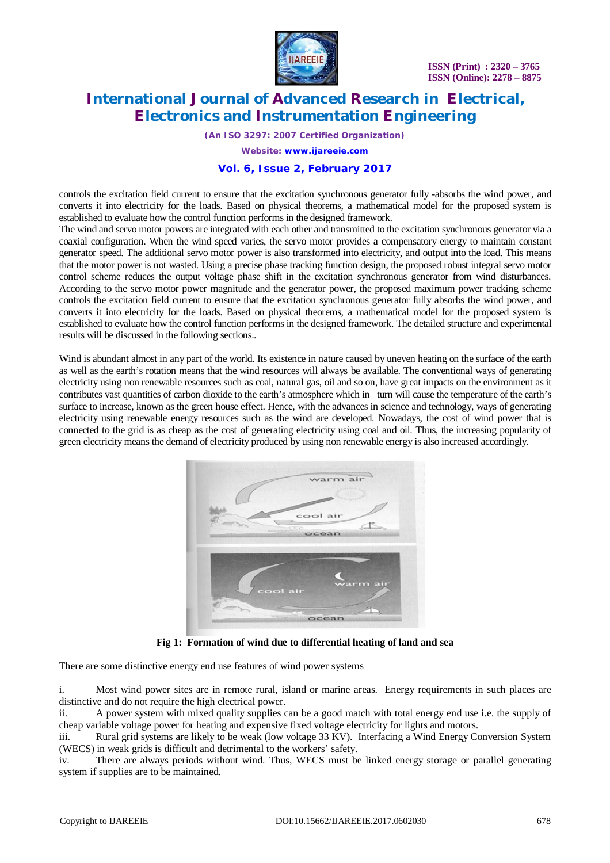

*(An ISO 3297: 2007 Certified Organization)*

*Website: [www.ijareeie.com](http://www.ijareeie.com)*

### **Vol. 6, Issue 2, February 2017**

controls the excitation field current to ensure that the excitation synchronous generator fully -absorbs the wind power, and converts it into electricity for the loads. Based on physical theorems, a mathematical model for the proposed system is established to evaluate how the control function performs in the designed framework.

The wind and servo motor powers are integrated with each other and transmitted to the excitation synchronous generator via a coaxial configuration. When the wind speed varies, the servo motor provides a compensatory energy to maintain constant generator speed. The additional servo motor power is also transformed into electricity, and output into the load. This means that the motor power is not wasted. Using a precise phase tracking function design, the proposed robust integral servo motor control scheme reduces the output voltage phase shift in the excitation synchronous generator from wind disturbances. According to the servo motor power magnitude and the generator power, the proposed maximum power tracking scheme controls the excitation field current to ensure that the excitation synchronous generator fully absorbs the wind power, and converts it into electricity for the loads. Based on physical theorems, a mathematical model for the proposed system is established to evaluate how the control function performs in the designed framework. The detailed structure and experimental results will be discussed in the following sections..

Wind is abundant almost in any part of the world. Its existence in nature caused by uneven heating on the surface of the earth as well as the earth's rotation means that the wind resources will always be available. The conventional ways of generating electricity using non renewable resources such as coal, natural gas, oil and so on, have great impacts on the environment as it contributes vast quantities of carbon dioxide to the earth's atmosphere which in turn will cause the temperature of the earth's surface to increase, known as the green house effect. Hence, with the advances in science and technology, ways of generating electricity using renewable energy resources such as the wind are developed. Nowadays, the cost of wind power that is connected to the grid is as cheap as the cost of generating electricity using coal and oil. Thus, the increasing popularity of green electricity means the demand of electricity produced by using non renewable energy is also increased accordingly.



**Fig 1: Formation of wind due to differential heating of land and sea**

There are some distinctive energy end use features of wind power systems

i. Most wind power sites are in remote rural, island or marine areas. Energy requirements in such places are distinctive and do not require the high electrical power.

ii. A power system with mixed quality supplies can be a good match with total energy end use i.e. the supply of cheap variable voltage power for heating and expensive fixed voltage electricity for lights and motors.

iii. Rural grid systems are likely to be weak (low voltage 33 KV). Interfacing a Wind Energy Conversion System (WECS) in weak grids is difficult and detrimental to the workers' safety.

iv. There are always periods without wind. Thus, WECS must be linked energy storage or parallel generating system if supplies are to be maintained.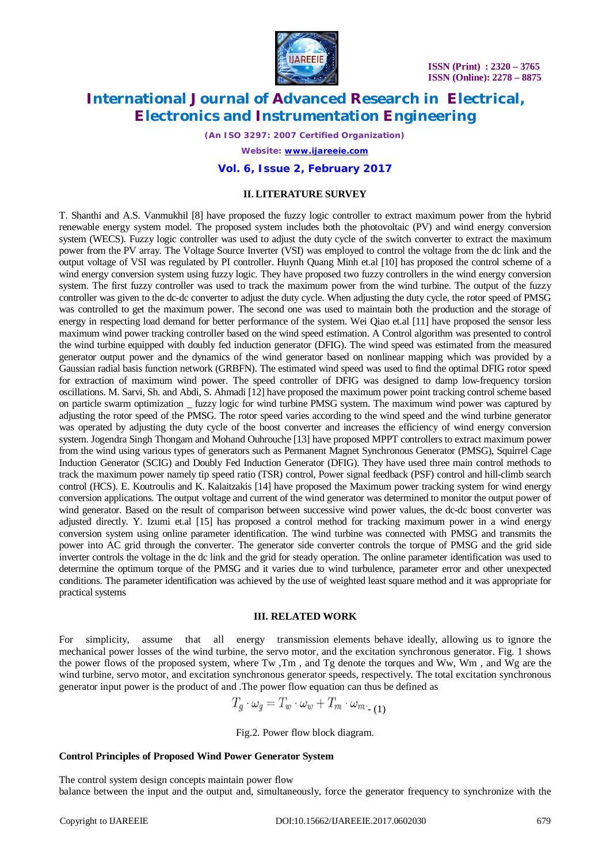

*(An ISO 3297: 2007 Certified Organization)*

*Website: [www.ijareeie.com](http://www.ijareeie.com)*

#### **Vol. 6, Issue 2, February 2017**

#### **II. LITERATURE SURVEY**

T. Shanthi and A.S. Vanmukhil [8] have proposed the fuzzy logic controller to extract maximum power from the hybrid renewable energy system model. The proposed system includes both the photovoltaic (PV) and wind energy conversion system (WECS). Fuzzy logic controller was used to adjust the duty cycle of the switch converter to extract the maximum power from the PV array. The Voltage Source Inverter (VSI) was employed to control the voltage from the dc link and the output voltage of VSI was regulated by PI controller. Huynh Quang Minh et.al [10] has proposed the control scheme of a wind energy conversion system using fuzzy logic. They have proposed two fuzzy controllers in the wind energy conversion system. The first fuzzy controller was used to track the maximum power from the wind turbine. The output of the fuzzy controller was given to the dc-dc converter to adjust the duty cycle. When adjusting the duty cycle, the rotor speed of PMSG was controlled to get the maximum power. The second one was used to maintain both the production and the storage of energy in respecting load demand for better performance of the system. Wei Qiao et.al [11] have proposed the sensor less maximum wind power tracking controller based on the wind speed estimation. A Control algorithm was presented to control the wind turbine equipped with doubly fed induction generator (DFIG). The wind speed was estimated from the measured generator output power and the dynamics of the wind generator based on nonlinear mapping which was provided by a Gaussian radial basis function network (GRBFN). The estimated wind speed was used to find the optimal DFIG rotor speed for extraction of maximum wind power. The speed controller of DFIG was designed to damp low-frequency torsion oscillations. M. Sarvi, Sh. and Abdi, S. Ahmadi [12] have proposed the maximum power point tracking control scheme based on particle swarm optimization \_ fuzzy logic for wind turbine PMSG system. The maximum wind power was captured by adjusting the rotor speed of the PMSG. The rotor speed varies according to the wind speed and the wind turbine generator was operated by adjusting the duty cycle of the boost converter and increases the efficiency of wind energy conversion system. Jogendra Singh Thongam and Mohand Ouhrouche [13] have proposed MPPT controllers to extract maximum power from the wind using various types of generators such as Permanent Magnet Synchronous Generator (PMSG), Squirrel Cage Induction Generator (SCIG) and Doubly Fed Induction Generator (DFIG). They have used three main control methods to track the maximum power namely tip speed ratio (TSR) control, Power signal feedback (PSF) control and hill-climb search control (HCS). E. Koutroulis and K. Kalaitzakis [14] have proposed the Maximum power tracking system for wind energy conversion applications. The output voltage and current of the wind generator was determined to monitor the output power of wind generator. Based on the result of comparison between successive wind power values, the dc-dc boost converter was adjusted directly. Y. Izumi et.al [15] has proposed a control method for tracking maximum power in a wind energy conversion system using online parameter identification. The wind turbine was connected with PMSG and transmits the power into AC grid through the converter. The generator side converter controls the torque of PMSG and the grid side inverter controls the voltage in the dc link and the grid for steady operation. The online parameter identification was used to determine the optimum torque of the PMSG and it varies due to wind turbulence, parameter error and other unexpected conditions. The parameter identification was achieved by the use of weighted least square method and it was appropriate for practical systems

#### **III. RELATED WORK**

For simplicity, assume that all energy transmission elements behave ideally, allowing us to ignore the mechanical power losses of the wind turbine, the servo motor, and the excitation synchronous generator. Fig. 1 shows the power flows of the proposed system, where Tw ,Tm , and Tg denote the torques and Ww, Wm , and Wg are the wind turbine, servo motor, and excitation synchronous generator speeds, respectively. The total excitation synchronous generator input power is the product of and .The power flow equation can thus be defined as

$$
T_g \cdot \omega_g = T_w \cdot \omega_w + T_m \cdot \omega_{m} \quad (1)
$$

Fig.2. Power flow block diagram.

#### **Control Principles of Proposed Wind Power Generator System**

The control system design concepts maintain power flow balance between the input and the output and, simultaneously, force the generator frequency to synchronize with the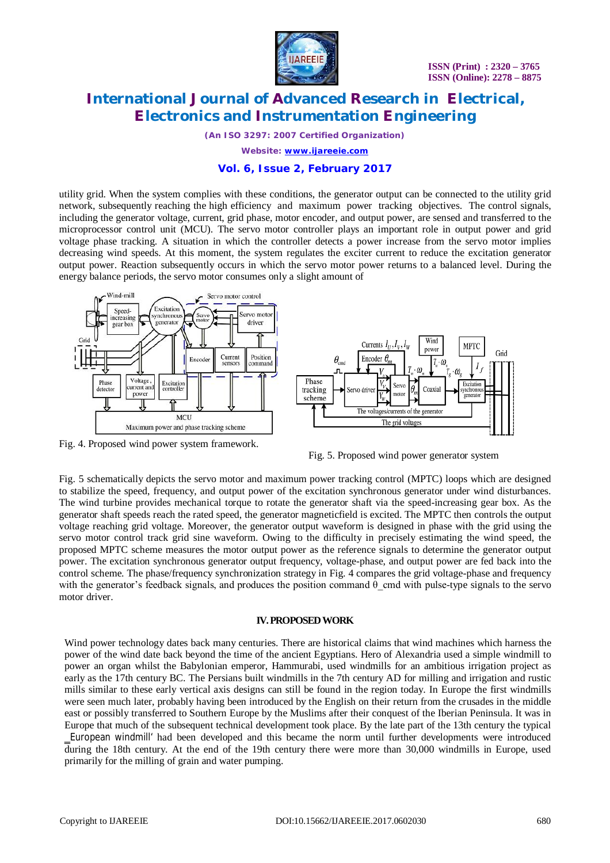

*(An ISO 3297: 2007 Certified Organization)*

*Website: [www.ijareeie.com](http://www.ijareeie.com)*

### **Vol. 6, Issue 2, February 2017**

utility grid. When the system complies with these conditions, the generator output can be connected to the utility grid network, subsequently reaching the high efficiency and maximum power tracking objectives. The control signals, including the generator voltage, current, grid phase, motor encoder, and output power, are sensed and transferred to the microprocessor control unit (MCU). The servo motor controller plays an important role in output power and grid voltage phase tracking. A situation in which the controller detects a power increase from the servo motor implies decreasing wind speeds. At this moment, the system regulates the exciter current to reduce the excitation generator output power. Reaction subsequently occurs in which the servo motor power returns to a balanced level. During the energy balance periods, the servo motor consumes only a slight amount of



Fig. 4. Proposed wind power system framework.



Fig. 5 schematically depicts the servo motor and maximum power tracking control (MPTC) loops which are designed to stabilize the speed, frequency, and output power of the excitation synchronous generator under wind disturbances. The wind turbine provides mechanical torque to rotate the generator shaft via the speed-increasing gear box. As the generator shaft speeds reach the rated speed, the generator magneticfield is excited. The MPTC then controls the output voltage reaching grid voltage. Moreover, the generator output waveform is designed in phase with the grid using the servo motor control track grid sine waveform. Owing to the difficulty in precisely estimating the wind speed, the proposed MPTC scheme measures the motor output power as the reference signals to determine the generator output power. The excitation synchronous generator output frequency, voltage-phase, and output power are fed back into the control scheme. The phase/frequency synchronization strategy in Fig. 4 compares the grid voltage-phase and frequency with the generator's feedback signals, and produces the position command  $\theta$  cmd with pulse-type signals to the servo motor driver.

#### **IV. PROPOSED WORK**

Wind power technology dates back many centuries. There are historical claims that wind machines which harness the power of the wind date back beyond the time of the ancient Egyptians. Hero of Alexandria used a simple windmill to power an organ whilst the Babylonian emperor, Hammurabi, used windmills for an ambitious irrigation project as early as the 17th century BC. The Persians built windmills in the 7th century AD for milling and irrigation and rustic mills similar to these early vertical axis designs can still be found in the region today. In Europe the first windmills were seen much later, probably having been introduced by the English on their return from the crusades in the middle east or possibly transferred to Southern Europe by the Muslims after their conquest of the Iberian Peninsula. It was in Europe that much of the subsequent technical development took place. By the late part of the 13th century the typical ‗European windmill' had been developed and this became the norm until further developments were introduced during the 18th century. At the end of the 19th century there were more than 30,000 windmills in Europe, used primarily for the milling of grain and water pumping.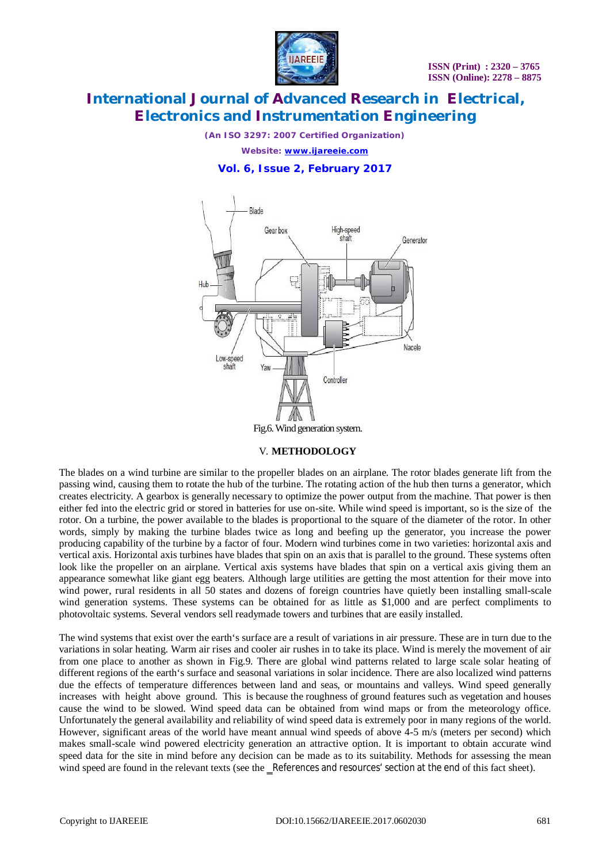

*(An ISO 3297: 2007 Certified Organization)*

*Website: [www.ijareeie.com](http://www.ijareeie.com)*

### **Vol. 6, Issue 2, February 2017**



#### V. **METHODOLOGY**

The blades on a wind turbine are similar to the propeller blades on an airplane. The rotor blades generate lift from the passing wind, causing them to rotate the hub of the turbine. The rotating action of the hub then turns a generator, which creates electricity. A gearbox is generally necessary to optimize the power output from the machine. That power is then either fed into the electric grid or stored in batteries for use on-site. While wind speed is important, so is the size of the rotor. On a turbine, the power available to the blades is proportional to the square of the diameter of the rotor. In other words, simply by making the turbine blades twice as long and beefing up the generator, you increase the power producing capability of the turbine by a factor of four. Modern wind turbines come in two varieties: horizontal axis and vertical axis. Horizontal axis turbines have blades that spin on an axis that is parallel to the ground. These systems often look like the propeller on an airplane. Vertical axis systems have blades that spin on a vertical axis giving them an appearance somewhat like giant egg beaters. Although large utilities are getting the most attention for their move into wind power, rural residents in all 50 states and dozens of foreign countries have quietly been installing small-scale wind generation systems. These systems can be obtained for as little as \$1,000 and are perfect compliments to photovoltaic systems. Several vendors sell readymade towers and turbines that are easily installed.

The wind systems that exist over the earth's surface are a result of variations in air pressure. These are in turn due to the variations in solar heating. Warm air rises and cooler air rushes in to take its place. Wind is merely the movement of air from one place to another as shown in Fig.9. There are global wind patterns related to large scale solar heating of different regions of the earth's surface and seasonal variations in solar incidence. There are also localized wind patterns due the effects of temperature differences between land and seas, or mountains and valleys. Wind speed generally increases with height above ground. This is because the roughness of ground features such as vegetation and houses cause the wind to be slowed. Wind speed data can be obtained from wind maps or from the meteorology office. Unfortunately the general availability and reliability of wind speed data is extremely poor in many regions of the world. However, significant areas of the world have meant annual wind speeds of above 4-5 m/s (meters per second) which makes small-scale wind powered electricity generation an attractive option. It is important to obtain accurate wind speed data for the site in mind before any decision can be made as to its suitability. Methods for assessing the mean wind speed are found in the relevant texts (see the \_References and resources' section at the end of this fact sheet).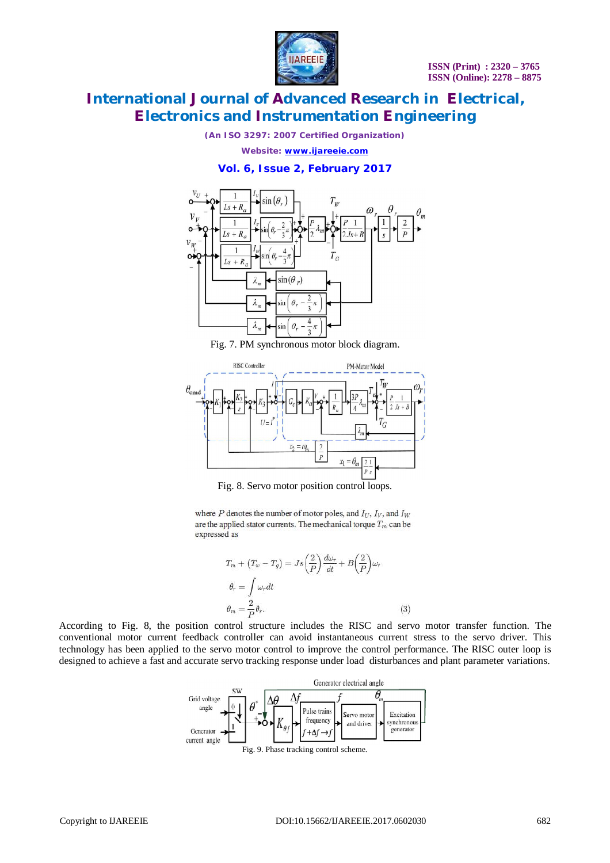

*(An ISO 3297: 2007 Certified Organization)*

*Website: [www.ijareeie.com](http://www.ijareeie.com)*

**Vol. 6, Issue 2, February 2017**



Fig. 7. PM synchronous motor block diagram.



Fig. 8. Servo motor position control loops.

where  $P$  denotes the number of motor poles, and  $I_U$ ,  $I_V$ , and  $I_W$ are the applied stator currents. The mechanical torque  $T_m$  can be expressed as

$$
T_m + (T_w - T_g) = J_s \left(\frac{2}{P}\right) \frac{d\omega_r}{dt} + B \left(\frac{2}{P}\right) \omega_r
$$
  
\n
$$
\theta_r = \int \omega_r dt
$$
  
\n
$$
\theta_m = \frac{2}{P} \theta_r.
$$
\n(3)

According to Fig. 8, the position control structure includes the RISC and servo motor transfer function. The conventional motor current feedback controller can avoid instantaneous current stress to the servo driver. This technology has been applied to the servo motor control to improve the control performance. The RISC outer loop is designed to achieve a fast and accurate servo tracking response under load disturbances and plant parameter variations.

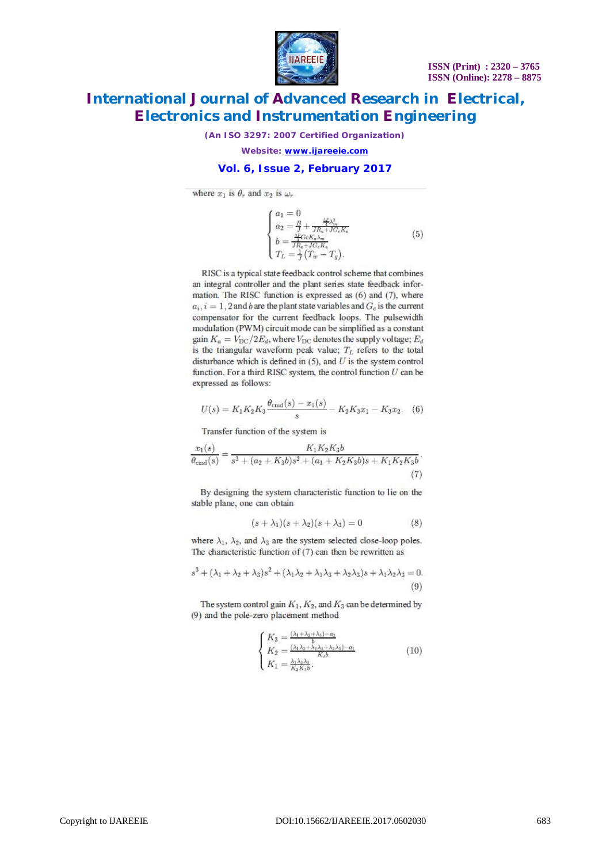

*(An ISO 3297: 2007 Certified Organization)*

*Website: [www.ijareeie.com](http://www.ijareeie.com)*

### **Vol. 6, Issue 2, February 2017**

where  $x_1$  is  $\theta_r$  and  $x_2$  is  $\omega_r$ 

$$
\begin{cases}\na_1 = 0 \\
a_2 = \frac{B}{J} + \frac{\frac{2F}{J_{\text{tot}}}}{J R_{\text{e}} + J G_{\text{e}} K_{\text{e}}}\n\end{cases}
$$
\n
$$
b = \frac{\frac{2F}{J} G_{\text{e}} K_{\text{e}} \lambda_{\text{m}}}{J R_{\text{e}} + J G_{\text{e}} K_{\text{e}}}\n\tag{5}
$$
\n
$$
T_L = \frac{1}{J} (T_w - T_q).
$$

RISC is a typical state feedback control scheme that combines an integral controller and the plant series state feedback information. The RISC function is expressed as (6) and (7), where  $a_i$ ,  $i = 1$ , 2 and b are the plant state variables and  $G_c$  is the current compensator for the current feedback loops. The pulsewidth modulation (PWM) circuit mode can be simplified as a constant gain  $K_a = V_{\text{DC}}/2E_d$ , where  $V_{\text{DC}}$  denotes the supply voltage;  $E_d$ is the triangular waveform peak value;  $T_L$  refers to the total disturbance which is defined in  $(5)$ , and U is the system control function. For a third RISC system, the control function  $U$  can be expressed as follows:

$$
U(s) = K_1 K_2 K_3 \frac{\theta_{\text{cmd}}(s) - x_1(s)}{s} - K_2 K_3 x_1 - K_3 x_2. \tag{6}
$$

Transfer function of the system is

$$
\frac{x_1(s)}{\theta_{\rm cmd}(s)} = \frac{K_1K_2K_3b}{s^3 + (a_2 + K_3b)s^2 + (a_1 + K_2K_3b)s + K_1K_2K_3b}.
$$
\n(7)

By designing the system characteristic function to lie on the stable plane, one can obtain

$$
(s + \lambda_1)(s + \lambda_2)(s + \lambda_3) = 0 \tag{8}
$$

where  $\lambda_1$ ,  $\lambda_2$ , and  $\lambda_3$  are the system selected close-loop poles. The characteristic function of  $(7)$  can then be rewritten as

$$
s^3 + (\lambda_1 + \lambda_2 + \lambda_3)s^2 + (\lambda_1\lambda_2 + \lambda_1\lambda_3 + \lambda_2\lambda_3)s + \lambda_1\lambda_2\lambda_3 = 0.
$$
\n(9)

The system control gain  $K_1, K_2$ , and  $K_3$  can be determined by (9) and the pole-zero placement method

$$
\begin{cases} K_3 = \frac{(\lambda_1 + \lambda_2 + \lambda_3) - a_2}{b} \\ K_2 = \frac{(\lambda_1 \lambda_2 + \lambda_2 \lambda_3 + \lambda_2 \lambda_3) - a_1}{K_3b} \\ K_1 = \frac{\lambda_1 \lambda_2 \lambda_3}{K_2 K_3 b} . \end{cases} \tag{10}
$$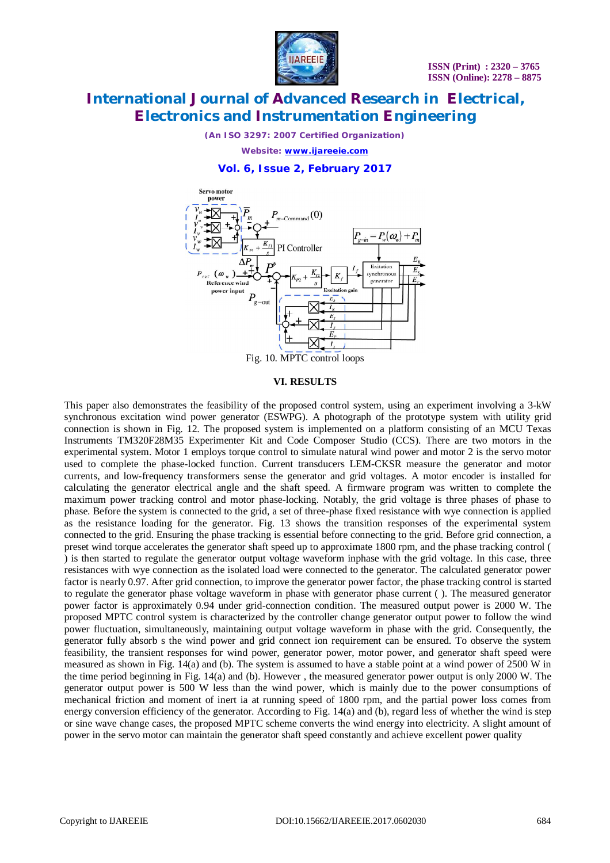

*(An ISO 3297: 2007 Certified Organization)*

*Website: [www.ijareeie.com](http://www.ijareeie.com)*

**Vol. 6, Issue 2, February 2017**



#### **VI. RESULTS**

This paper also demonstrates the feasibility of the proposed control system, using an experiment involving a 3-kW synchronous excitation wind power generator (ESWPG). A photograph of the prototype system with utility grid connection is shown in Fig. 12. The proposed system is implemented on a platform consisting of an MCU Texas Instruments TM320F28M35 Experimenter Kit and Code Composer Studio (CCS). There are two motors in the experimental system. Motor 1 employs torque control to simulate natural wind power and motor 2 is the servo motor used to complete the phase-locked function. Current transducers LEM-CKSR measure the generator and motor currents, and low-frequency transformers sense the generator and grid voltages. A motor encoder is installed for calculating the generator electrical angle and the shaft speed. A firmware program was written to complete the maximum power tracking control and motor phase-locking. Notably, the grid voltage is three phases of phase to phase. Before the system is connected to the grid, a set of three-phase fixed resistance with wye connection is applied as the resistance loading for the generator. Fig. 13 shows the transition responses of the experimental system connected to the grid. Ensuring the phase tracking is essential before connecting to the grid. Before grid connection, a preset wind torque accelerates the generator shaft speed up to approximate 1800 rpm, and the phase tracking control ( ) is then started to regulate the generator output voltage waveform inphase with the grid voltage. In this case, three resistances with wye connection as the isolated load were connected to the generator. The calculated generator power factor is nearly 0.97. After grid connection, to improve the generator power factor, the phase tracking control is started to regulate the generator phase voltage waveform in phase with generator phase current ( ). The measured generator power factor is approximately 0.94 under grid-connection condition. The measured output power is 2000 W. The proposed MPTC control system is characterized by the controller change generator output power to follow the wind power fluctuation, simultaneously, maintaining output voltage waveform in phase with the grid. Consequently, the generator fully absorb s the wind power and grid connect ion requirement can be ensured. To observe the system feasibility, the transient responses for wind power, generator power, motor power, and generator shaft speed were measured as shown in Fig. 14(a) and (b). The system is assumed to have a stable point at a wind power of 2500 W in the time period beginning in Fig. 14(a) and (b). However , the measured generator power output is only 2000 W. The generator output power is 500 W less than the wind power, which is mainly due to the power consumptions of mechanical friction and moment of inert ia at running speed of 1800 rpm, and the partial power loss comes from energy conversion efficiency of the generator. According to Fig. 14(a) and (b), regard less of whether the wind is step or sine wave change cases, the proposed MPTC scheme converts the wind energy into electricity. A slight amount of power in the servo motor can maintain the generator shaft speed constantly and achieve excellent power quality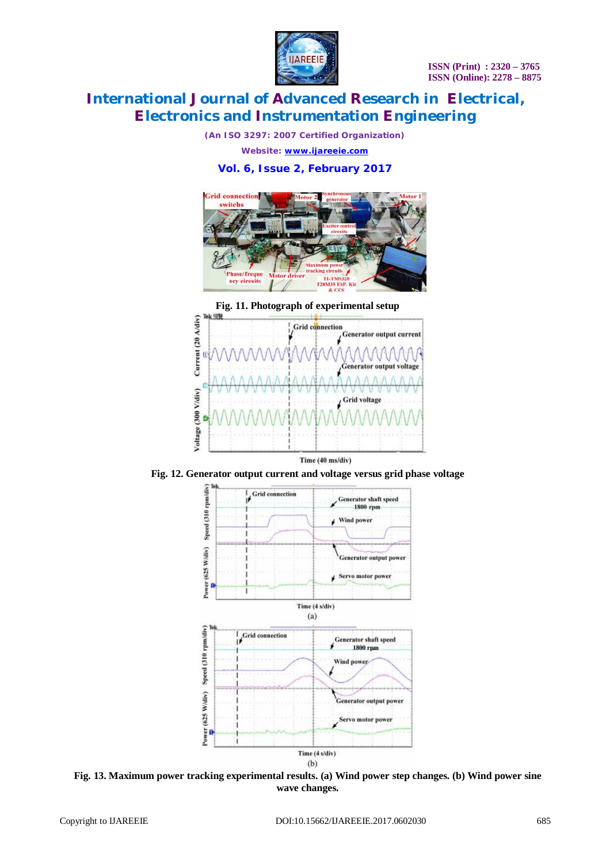

*(An ISO 3297: 2007 Certified Organization)*

*Website: [www.ijareeie.com](http://www.ijareeie.com)*

### **Vol. 6, Issue 2, February 2017**



**Fig. 11. Photograph of experimental setup**



**Fig. 12. Generator output current and voltage versus grid phase voltage**



**Fig. 13. Maximum power tracking experimental results. (a) Wind power step changes. (b) Wind power sine wave changes.**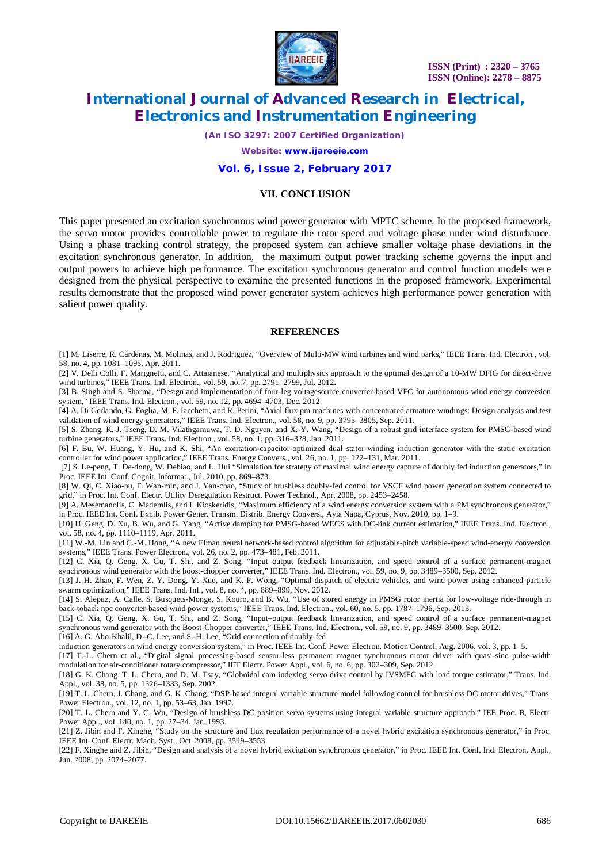

*(An ISO 3297: 2007 Certified Organization)*

*Website: [www.ijareeie.com](http://www.ijareeie.com)*

#### **Vol. 6, Issue 2, February 2017**

#### **VII. CONCLUSION**

This paper presented an excitation synchronous wind power generator with MPTC scheme. In the proposed framework, the servo motor provides controllable power to regulate the rotor speed and voltage phase under wind disturbance. Using a phase tracking control strategy, the proposed system can achieve smaller voltage phase deviations in the excitation synchronous generator. In addition, the maximum output power tracking scheme governs the input and output powers to achieve high performance. The excitation synchronous generator and control function models were designed from the physical perspective to examine the presented functions in the proposed framework. Experimental results demonstrate that the proposed wind power generator system achieves high performance power generation with salient power quality.

#### **REFERENCES**

[1] M. Liserre, R. Cárdenas, M. Molinas, and J. Rodriguez, "Overview of Multi-MW wind turbines and wind parks," IEEE Trans. Ind. Electron., vol. 58, no. 4, pp. 1081–1095, Apr. 2011.

[2] V. Delli Colli, F. Marignetti, and C. Attaianese, "Analytical and multiphysics approach to the optimal design of a 10-MW DFIG for direct-drive wind turbines," IEEE Trans. Ind. Electron., vol. 59, no. 7, pp. 2791–2799, Jul. 2012.

[3] B. Singh and S. Sharma, "Design and implementation of four-leg voltagesource-converter-based VFC for autonomous wind energy conversion system," IEEE Trans. Ind. Electron., vol. 59, no. 12, pp. 4694–4703, Dec. 2012.

[4] A. Di Gerlando, G. Foglia, M. F. Iacchetti, and R. Perini, "Axial flux pm machines with concentrated armature windings: Design analysis and test validation of wind energy generators," IEEE Trans. Ind. Electron., vol. 58, no. 9, pp. 3795–3805, Sep. 2011.

[5] S. Zhang, K.-J. Tseng, D. M. Vilathgamuwa, T. D. Nguyen, and X.-Y. Wang, "Design of a robust grid interface system for PMSG-based wind turbine generators," IEEE Trans. Ind. Electron., vol. 58, no. 1, pp. 316–328, Jan. 2011.

[6] F. Bu, W. Huang, Y. Hu, and K. Shi, "An excitation-capacitor-optimized dual stator-winding induction generator with the static excitation controller for wind power application," IEEE Trans. Energy Convers., vol. 26, no. 1, pp. 122–131, Mar. 2011.

[7] S. Le-peng, T. De-dong, W. Debiao, and L. Hui "Simulation for strategy of maximal wind energy capture of doubly fed induction generators," in Proc. IEEE Int. Conf. Cognit. Informat., Jul. 2010, pp. 869–873.

[8] W. Qi, C. Xiao-hu, F. Wan-min, and J. Yan-chao, "Study of brushless doubly-fed control for VSCF wind power generation system connected to grid," in Proc. Int. Conf. Electr. Utility Deregulation Restruct. Power Technol., Apr. 2008, pp. 2453–2458.

[9] A. Mesemanolis, C. Mademlis, and I. Kioskeridis, "Maximum efficiency of a wind energy conversion system with a PM synchronous generator," in Proc. IEEE Int. Conf. Exhib. Power Gener. Transm. Distrib. Energy Convers., Ayia Napa, Cyprus, Nov. 2010, pp. 1–9.

[10] H. Geng, D. Xu, B. Wu, and G. Yang, "Active damping for PMSG-based WECS with DC-link current estimation," IEEE Trans. Ind. Electron., vol. 58, no. 4, pp. 1110–1119, Apr. 2011.

[11] W.-M. Lin and C.-M. Hong, "A new Elman neural network-based control algorithm for adjustable-pitch variable-speed wind-energy conversion systems," IEEE Trans. Power Electron., vol. 26, no. 2, pp. 473–481, Feb. 2011.

[12] C. Xia, Q. Geng, X. Gu, T. Shi, and Z. Song, "Input–output feedback linearization, and speed control of a surface permanent-magnet synchronous wind generator with the boost-chopper converter," IEEE Trans. Ind. Electron., vol. 59, no. 9, pp. 3489-3500, Sep. 2012.

[13] J. H. Zhao, F. Wen, Z. Y. Dong, Y. Xue, and K. P. Wong, "Optimal dispatch of electric vehicles, and wind power using enhanced particle swarm optimization," IEEE Trans. Ind. Inf., vol. 8, no. 4, pp. 889–899, Nov. 2012.

[14] S. Alepuz, A. Calle, S. Busquets-Monge, S. Kouro, and B. Wu, "Use of stored energy in PMSG rotor inertia for low-voltage ride-through in back-toback npc converter-based wind power systems," IEEE Trans. Ind. Electron., vol. 60, no. 5, pp. 1787–1796, Sep. 2013.

[15] C. Xia, Q. Geng, X. Gu, T. Shi, and Z. Song, "Input–output feedback linearization, and speed control of a surface permanent-magnet synchronous wind generator with the Boost-Chopper converter," IEEE Trans. Ind. Electron., vol. 59, no. 9, pp. 3489–3500, Sep. 2012.

[16] A. G. Abo-Khalil, D.-C. Lee, and S.-H. Lee, "Grid connection of doubly-fed

induction generators in wind energy conversion system," in Proc. IEEE Int. Conf. Power Electron. Motion Control, Aug. 2006, vol. 3, pp. 1–5.

[17] T.-L. Chern et al., "Digital signal processing-based sensor-less permanent magnet synchronous motor driver with quasi-sine pulse-width modulation for air-conditioner rotary compressor," IET Electr. Power Appl., vol. 6, no. 6, pp. 302–309, Sep. 2012.

[18] G. K. Chang, T. L. Chern, and D. M. Tsay, "Globoidal cam indexing servo drive control by IVSMFC with load torque estimator," Trans. Ind. Appl., vol. 38, no. 5, pp. 1326–1333, Sep. 2002.

[19] T. L. Chern, J. Chang, and G. K. Chang, "DSP-based integral variable structure model following control for brushless DC motor drives," Trans. Power Electron., vol. 12, no. 1, pp. 53–63, Jan. 1997.

[20] T. L. Chern and Y. C. Wu, "Design of brushless DC position servo systems using integral variable structure approach," IEE Proc. B, Electr. Power Appl., vol. 140, no. 1, pp. 27–34, Jan. 1993.

[21] Z. Jibin and F. Xinghe, "Study on the structure and flux regulation performance of a novel hybrid excitation synchronous generator," in Proc. IEEE Int. Conf. Electr. Mach. Syst., Oct. 2008, pp. 3549–3553.

[22] F. Xinghe and Z. Jibin, "Design and analysis of a novel hybrid excitation synchronous generator," in Proc. IEEE Int. Conf. Ind. Electron. Appl., Jun. 2008, pp. 2074–2077.